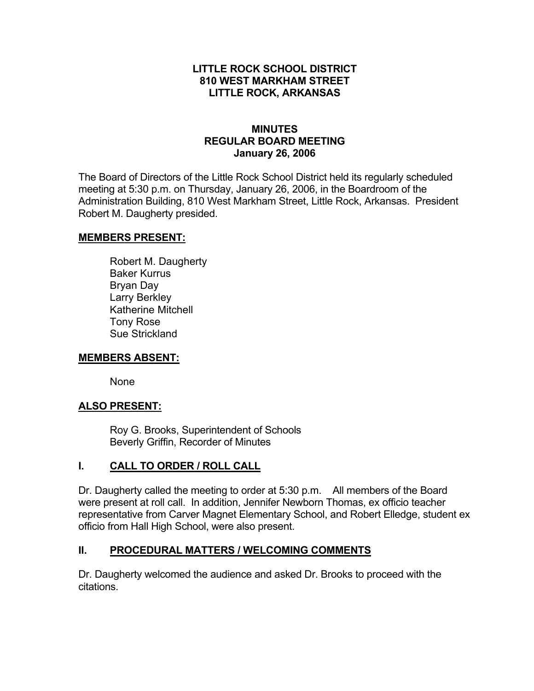### **LITTLE ROCK SCHOOL DISTRICT 810 WEST MARKHAM STREET LITTLE ROCK, ARKANSAS**

### **MINUTES REGULAR BOARD MEETING January 26, 2006**

The Board of Directors of the Little Rock School District held its regularly scheduled meeting at 5:30 p.m. on Thursday, January 26, 2006, in the Boardroom of the Administration Building, 810 West Markham Street, Little Rock, Arkansas. President Robert M. Daugherty presided.

### **MEMBERS PRESENT:**

Robert M. Daugherty Baker Kurrus Bryan Day Larry Berkley Katherine Mitchell Tony Rose Sue Strickland

#### **MEMBERS ABSENT:**

None

### **ALSO PRESENT:**

 Roy G. Brooks, Superintendent of Schools Beverly Griffin, Recorder of Minutes

### **I. CALL TO ORDER / ROLL CALL**

Dr. Daugherty called the meeting to order at 5:30 p.m. All members of the Board were present at roll call. In addition, Jennifer Newborn Thomas, ex officio teacher representative from Carver Magnet Elementary School, and Robert Elledge, student ex officio from Hall High School, were also present.

### **II. PROCEDURAL MATTERS / WELCOMING COMMENTS**

Dr. Daugherty welcomed the audience and asked Dr. Brooks to proceed with the citations.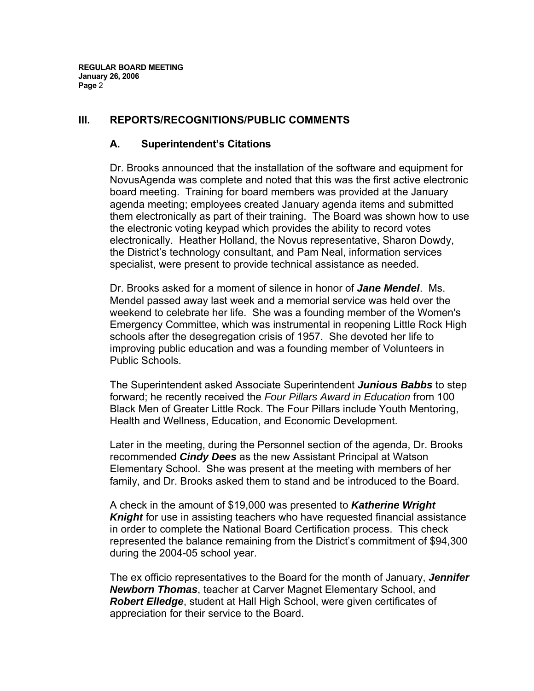### **III. REPORTS/RECOGNITIONS/PUBLIC COMMENTS**

### **A. Superintendent's Citations**

Dr. Brooks announced that the installation of the software and equipment for NovusAgenda was complete and noted that this was the first active electronic board meeting. Training for board members was provided at the January agenda meeting; employees created January agenda items and submitted them electronically as part of their training. The Board was shown how to use the electronic voting keypad which provides the ability to record votes electronically. Heather Holland, the Novus representative, Sharon Dowdy, the District's technology consultant, and Pam Neal, information services specialist, were present to provide technical assistance as needed.

Dr. Brooks asked for a moment of silence in honor of *Jane Mendel*. Ms. Mendel passed away last week and a memorial service was held over the weekend to celebrate her life. She was a founding member of the Women's Emergency Committee, which was instrumental in reopening Little Rock High schools after the desegregation crisis of 1957. She devoted her life to improving public education and was a founding member of Volunteers in Public Schools.

The Superintendent asked Associate Superintendent *Junious Babbs* to step forward; he recently received the *Four Pillars Award in Education* from 100 Black Men of Greater Little Rock. The Four Pillars include Youth Mentoring, Health and Wellness, Education, and Economic Development.

Later in the meeting, during the Personnel section of the agenda, Dr. Brooks recommended *Cindy Dees* as the new Assistant Principal at Watson Elementary School. She was present at the meeting with members of her family, and Dr. Brooks asked them to stand and be introduced to the Board.

A check in the amount of \$19,000 was presented to *Katherine Wright Knight* for use in assisting teachers who have requested financial assistance in order to complete the National Board Certification process. This check represented the balance remaining from the District's commitment of \$94,300 during the 2004-05 school year.

The ex officio representatives to the Board for the month of January, *Jennifer Newborn Thomas*, teacher at Carver Magnet Elementary School, and *Robert Elledge*, student at Hall High School, were given certificates of appreciation for their service to the Board.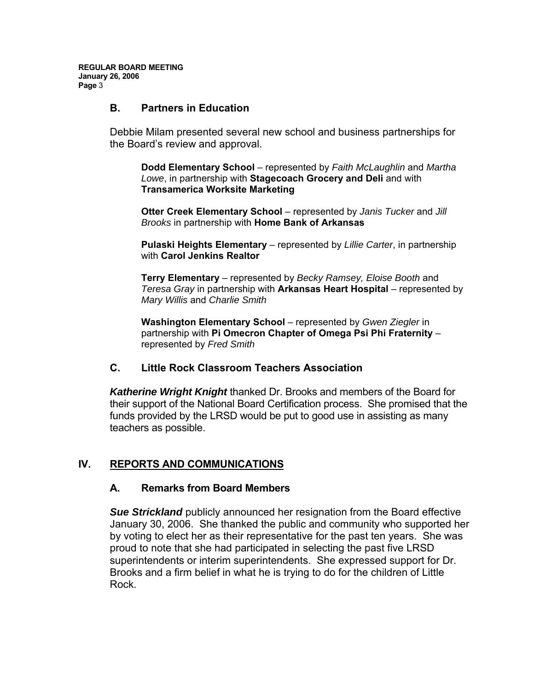#### **B. Partners in Education**

Debbie Milam presented several new school and business partnerships for the Board's review and approval.

**Dodd Elementary School** – represented by *Faith McLaughlin* and *Martha Lowe*, in partnership with **Stagecoach Grocery and Deli** and with **Transamerica Worksite Marketing** 

**Otter Creek Elementary School** – represented by *Janis Tucker* and *Jill Brooks* in partnership with **Home Bank of Arkansas**

**Pulaski Heights Elementary** – represented by *Lillie Carter*, in partnership with **Carol Jenkins Realtor**

**Terry Elementary** – represented by *Becky Ramsey, Eloise Booth* and *Teresa Gray* in partnership with **Arkansas Heart Hospital** – represented by *Mary Willis* and *Charlie Smith*

**Washington Elementary School** – represented by *Gwen Ziegler* in partnership with **Pi Omecron Chapter of Omega Psi Phi Fraternity** – represented by *Fred Smith*

#### **C. Little Rock Classroom Teachers Association**

*Katherine Wright Knight* thanked Dr. Brooks and members of the Board for their support of the National Board Certification process. She promised that the funds provided by the LRSD would be put to good use in assisting as many teachers as possible.

# **IV. REPORTS AND COMMUNICATIONS**

#### **A. Remarks from Board Members**

*Sue Strickland* publicly announced her resignation from the Board effective January 30, 2006. She thanked the public and community who supported her by voting to elect her as their representative for the past ten years. She was proud to note that she had participated in selecting the past five LRSD superintendents or interim superintendents. She expressed support for Dr. Brooks and a firm belief in what he is trying to do for the children of Little Rock.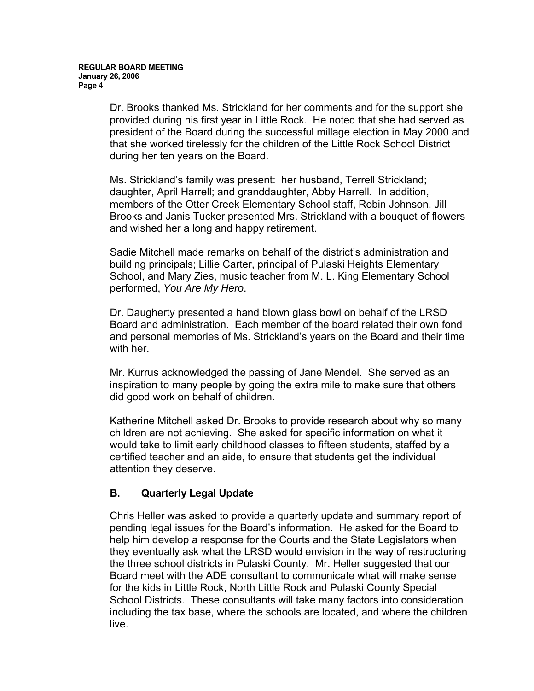Dr. Brooks thanked Ms. Strickland for her comments and for the support she provided during his first year in Little Rock. He noted that she had served as president of the Board during the successful millage election in May 2000 and that she worked tirelessly for the children of the Little Rock School District during her ten years on the Board.

Ms. Strickland's family was present: her husband, Terrell Strickland; daughter, April Harrell; and granddaughter, Abby Harrell. In addition, members of the Otter Creek Elementary School staff, Robin Johnson, Jill Brooks and Janis Tucker presented Mrs. Strickland with a bouquet of flowers and wished her a long and happy retirement.

Sadie Mitchell made remarks on behalf of the district's administration and building principals; Lillie Carter, principal of Pulaski Heights Elementary School, and Mary Zies, music teacher from M. L. King Elementary School performed, *You Are My Hero*.

Dr. Daugherty presented a hand blown glass bowl on behalf of the LRSD Board and administration. Each member of the board related their own fond and personal memories of Ms. Strickland's years on the Board and their time with her.

Mr. Kurrus acknowledged the passing of Jane Mendel. She served as an inspiration to many people by going the extra mile to make sure that others did good work on behalf of children.

Katherine Mitchell asked Dr. Brooks to provide research about why so many children are not achieving. She asked for specific information on what it would take to limit early childhood classes to fifteen students, staffed by a certified teacher and an aide, to ensure that students get the individual attention they deserve.

### **B. Quarterly Legal Update**

Chris Heller was asked to provide a quarterly update and summary report of pending legal issues for the Board's information. He asked for the Board to help him develop a response for the Courts and the State Legislators when they eventually ask what the LRSD would envision in the way of restructuring the three school districts in Pulaski County. Mr. Heller suggested that our Board meet with the ADE consultant to communicate what will make sense for the kids in Little Rock, North Little Rock and Pulaski County Special School Districts. These consultants will take many factors into consideration including the tax base, where the schools are located, and where the children live.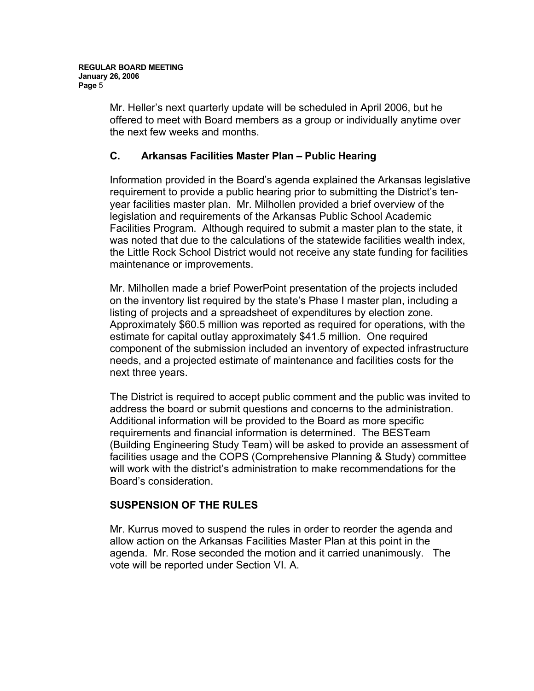Mr. Heller's next quarterly update will be scheduled in April 2006, but he offered to meet with Board members as a group or individually anytime over the next few weeks and months.

### **C. Arkansas Facilities Master Plan – Public Hearing**

Information provided in the Board's agenda explained the Arkansas legislative requirement to provide a public hearing prior to submitting the District's tenyear facilities master plan. Mr. Milhollen provided a brief overview of the legislation and requirements of the Arkansas Public School Academic Facilities Program. Although required to submit a master plan to the state, it was noted that due to the calculations of the statewide facilities wealth index, the Little Rock School District would not receive any state funding for facilities maintenance or improvements.

Mr. Milhollen made a brief PowerPoint presentation of the projects included on the inventory list required by the state's Phase I master plan, including a listing of projects and a spreadsheet of expenditures by election zone. Approximately \$60.5 million was reported as required for operations, with the estimate for capital outlay approximately \$41.5 million. One required component of the submission included an inventory of expected infrastructure needs, and a projected estimate of maintenance and facilities costs for the next three years.

The District is required to accept public comment and the public was invited to address the board or submit questions and concerns to the administration. Additional information will be provided to the Board as more specific requirements and financial information is determined. The BESTeam (Building Engineering Study Team) will be asked to provide an assessment of facilities usage and the COPS (Comprehensive Planning & Study) committee will work with the district's administration to make recommendations for the Board's consideration.

### **SUSPENSION OF THE RULES**

Mr. Kurrus moved to suspend the rules in order to reorder the agenda and allow action on the Arkansas Facilities Master Plan at this point in the agenda. Mr. Rose seconded the motion and it carried unanimously. The vote will be reported under Section VI. A.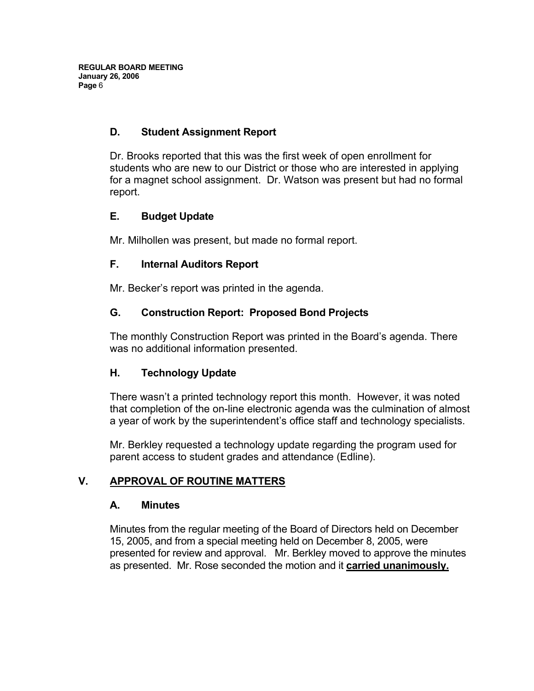## **D. Student Assignment Report**

Dr. Brooks reported that this was the first week of open enrollment for students who are new to our District or those who are interested in applying for a magnet school assignment. Dr. Watson was present but had no formal report.

## **E. Budget Update**

Mr. Milhollen was present, but made no formal report.

### **F. Internal Auditors Report**

Mr. Becker's report was printed in the agenda.

# **G. Construction Report: Proposed Bond Projects**

The monthly Construction Report was printed in the Board's agenda. There was no additional information presented.

### **H. Technology Update**

There wasn't a printed technology report this month. However, it was noted that completion of the on-line electronic agenda was the culmination of almost a year of work by the superintendent's office staff and technology specialists.

Mr. Berkley requested a technology update regarding the program used for parent access to student grades and attendance (Edline).

# **V. APPROVAL OF ROUTINE MATTERS**

### **A. Minutes**

Minutes from the regular meeting of the Board of Directors held on December 15, 2005, and from a special meeting held on December 8, 2005, were presented for review and approval. Mr. Berkley moved to approve the minutes as presented. Mr. Rose seconded the motion and it **carried unanimously.**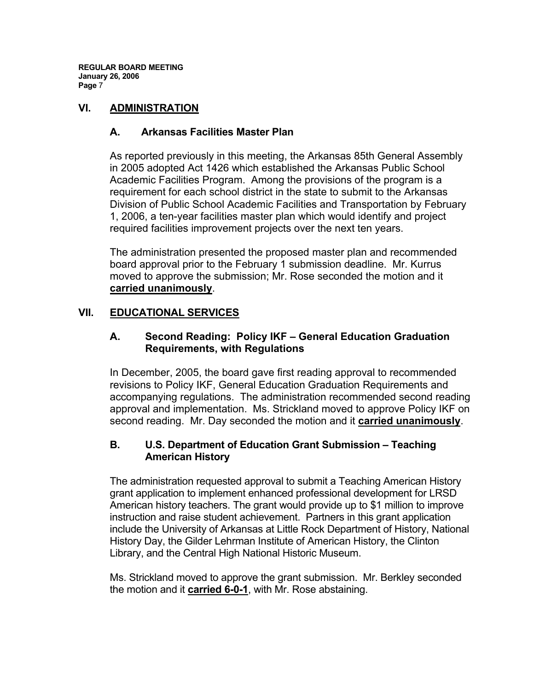### **VI. ADMINISTRATION**

### **A. Arkansas Facilities Master Plan**

As reported previously in this meeting, the Arkansas 85th General Assembly in 2005 adopted Act 1426 which established the Arkansas Public School Academic Facilities Program. Among the provisions of the program is a requirement for each school district in the state to submit to the Arkansas Division of Public School Academic Facilities and Transportation by February 1, 2006, a ten-year facilities master plan which would identify and project required facilities improvement projects over the next ten years.

The administration presented the proposed master plan and recommended board approval prior to the February 1 submission deadline. Mr. Kurrus moved to approve the submission; Mr. Rose seconded the motion and it **carried unanimously**.

### **VII. EDUCATIONAL SERVICES**

### **A. Second Reading: Policy IKF – General Education Graduation Requirements, with Regulations**

In December, 2005, the board gave first reading approval to recommended revisions to Policy IKF, General Education Graduation Requirements and accompanying regulations. The administration recommended second reading approval and implementation. Ms. Strickland moved to approve Policy IKF on second reading. Mr. Day seconded the motion and it **carried unanimously**.

#### **B. U.S. Department of Education Grant Submission – Teaching American History**

The administration requested approval to submit a Teaching American History grant application to implement enhanced professional development for LRSD American history teachers. The grant would provide up to \$1 million to improve instruction and raise student achievement. Partners in this grant application include the University of Arkansas at Little Rock Department of History, National History Day, the Gilder Lehrman Institute of American History, the Clinton Library, and the Central High National Historic Museum.

Ms. Strickland moved to approve the grant submission. Mr. Berkley seconded the motion and it **carried 6-0-1**, with Mr. Rose abstaining.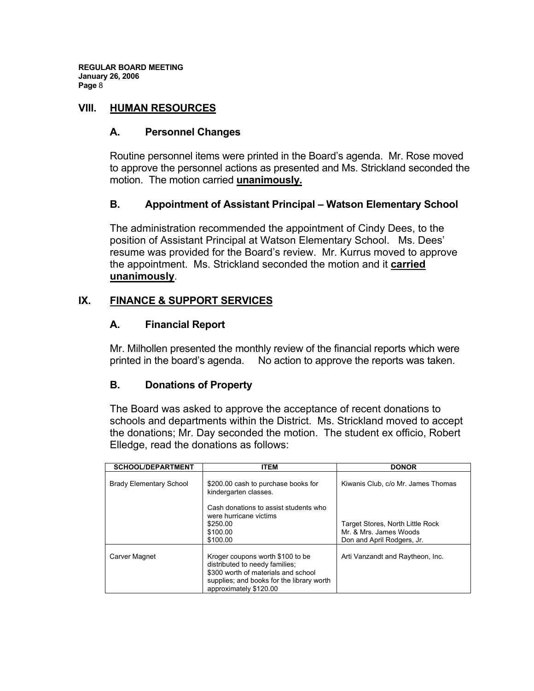### **VIII. HUMAN RESOURCES**

### **A. Personnel Changes**

Routine personnel items were printed in the Board's agenda. Mr. Rose moved to approve the personnel actions as presented and Ms. Strickland seconded the motion. The motion carried **unanimously.** 

### **B. Appointment of Assistant Principal – Watson Elementary School**

The administration recommended the appointment of Cindy Dees, to the position of Assistant Principal at Watson Elementary School. Ms. Dees' resume was provided for the Board's review. Mr. Kurrus moved to approve the appointment. Ms. Strickland seconded the motion and it **carried unanimously**.

### **IX. FINANCE & SUPPORT SERVICES**

#### **A. Financial Report**

Mr. Milhollen presented the monthly review of the financial reports which were printed in the board's agenda. No action to approve the reports was taken.

#### **B. Donations of Property**

The Board was asked to approve the acceptance of recent donations to schools and departments within the District. Ms. Strickland moved to accept the donations; Mr. Day seconded the motion. The student ex officio, Robert Elledge, read the donations as follows:

| <b>SCHOOL/DEPARTMENT</b>       | <b>ITEM</b>                                                                                                                                                                      | <b>DONOR</b>                                                                             |
|--------------------------------|----------------------------------------------------------------------------------------------------------------------------------------------------------------------------------|------------------------------------------------------------------------------------------|
| <b>Brady Elementary School</b> | \$200.00 cash to purchase books for<br>kindergarten classes.                                                                                                                     | Kiwanis Club. c/o Mr. James Thomas                                                       |
|                                | Cash donations to assist students who<br>were hurricane victims<br>\$250.00<br>\$100.00<br>\$100.00                                                                              | Target Stores, North Little Rock<br>Mr. & Mrs. James Woods<br>Don and April Rodgers, Jr. |
| Carver Magnet                  | Kroger coupons worth \$100 to be<br>distributed to needy families;<br>\$300 worth of materials and school<br>supplies; and books for the library worth<br>approximately \$120.00 | Arti Vanzandt and Raytheon, Inc.                                                         |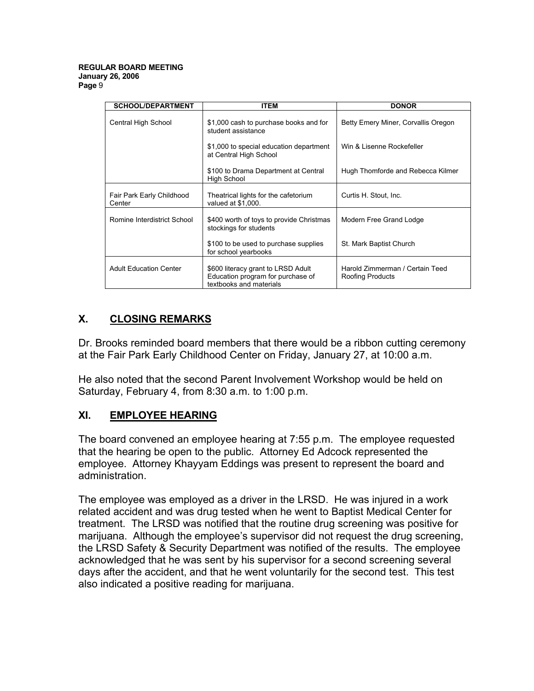| <b>SCHOOL/DEPARTMENT</b>            | <b>ITEM</b>                                                                                        | <b>DONOR</b>                                        |
|-------------------------------------|----------------------------------------------------------------------------------------------------|-----------------------------------------------------|
| Central High School                 | \$1,000 cash to purchase books and for<br>student assistance                                       | Betty Emery Miner, Corvallis Oregon                 |
|                                     | \$1,000 to special education department<br>at Central High School                                  | Win & Lisenne Rockefeller                           |
|                                     | \$100 to Drama Department at Central<br><b>High School</b>                                         | Hugh Thomforde and Rebecca Kilmer                   |
| Fair Park Early Childhood<br>Center | Theatrical lights for the cafetorium<br>valued at \$1,000.                                         | Curtis H. Stout, Inc.                               |
| Romine Interdistrict School         | \$400 worth of toys to provide Christmas<br>stockings for students                                 | Modern Free Grand Lodge                             |
|                                     | \$100 to be used to purchase supplies<br>for school yearbooks                                      | St. Mark Baptist Church                             |
| <b>Adult Education Center</b>       | \$600 literacy grant to LRSD Adult<br>Education program for purchase of<br>textbooks and materials | Harold Zimmerman / Certain Teed<br>Roofing Products |

# **X. CLOSING REMARKS**

Dr. Brooks reminded board members that there would be a ribbon cutting ceremony at the Fair Park Early Childhood Center on Friday, January 27, at 10:00 a.m.

He also noted that the second Parent Involvement Workshop would be held on Saturday, February 4, from 8:30 a.m. to 1:00 p.m.

### **XI. EMPLOYEE HEARING**

The board convened an employee hearing at 7:55 p.m. The employee requested that the hearing be open to the public. Attorney Ed Adcock represented the employee. Attorney Khayyam Eddings was present to represent the board and administration.

The employee was employed as a driver in the LRSD. He was injured in a work related accident and was drug tested when he went to Baptist Medical Center for treatment. The LRSD was notified that the routine drug screening was positive for marijuana. Although the employee's supervisor did not request the drug screening, the LRSD Safety & Security Department was notified of the results. The employee acknowledged that he was sent by his supervisor for a second screening several days after the accident, and that he went voluntarily for the second test. This test also indicated a positive reading for marijuana.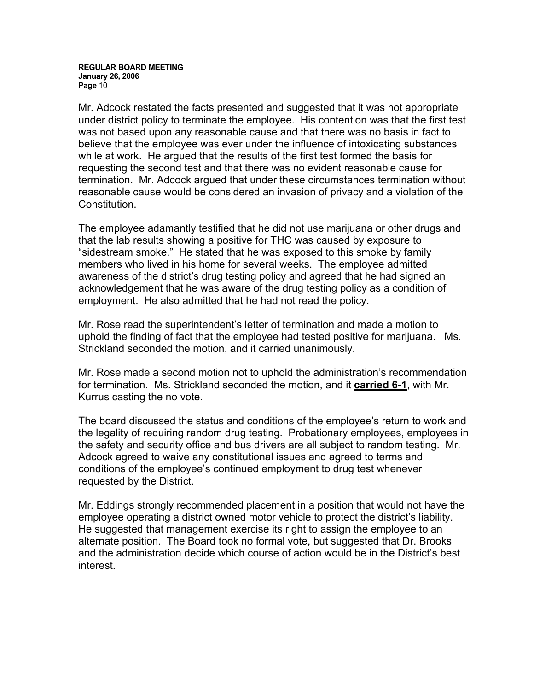Mr. Adcock restated the facts presented and suggested that it was not appropriate under district policy to terminate the employee. His contention was that the first test was not based upon any reasonable cause and that there was no basis in fact to believe that the employee was ever under the influence of intoxicating substances while at work. He argued that the results of the first test formed the basis for requesting the second test and that there was no evident reasonable cause for termination. Mr. Adcock argued that under these circumstances termination without reasonable cause would be considered an invasion of privacy and a violation of the Constitution.

The employee adamantly testified that he did not use marijuana or other drugs and that the lab results showing a positive for THC was caused by exposure to "sidestream smoke." He stated that he was exposed to this smoke by family members who lived in his home for several weeks. The employee admitted awareness of the district's drug testing policy and agreed that he had signed an acknowledgement that he was aware of the drug testing policy as a condition of employment. He also admitted that he had not read the policy.

Mr. Rose read the superintendent's letter of termination and made a motion to uphold the finding of fact that the employee had tested positive for marijuana. Ms. Strickland seconded the motion, and it carried unanimously.

Mr. Rose made a second motion not to uphold the administration's recommendation for termination. Ms. Strickland seconded the motion, and it **carried 6-1**, with Mr. Kurrus casting the no vote.

The board discussed the status and conditions of the employee's return to work and the legality of requiring random drug testing. Probationary employees, employees in the safety and security office and bus drivers are all subject to random testing. Mr. Adcock agreed to waive any constitutional issues and agreed to terms and conditions of the employee's continued employment to drug test whenever requested by the District.

Mr. Eddings strongly recommended placement in a position that would not have the employee operating a district owned motor vehicle to protect the district's liability. He suggested that management exercise its right to assign the employee to an alternate position. The Board took no formal vote, but suggested that Dr. Brooks and the administration decide which course of action would be in the District's best interest.